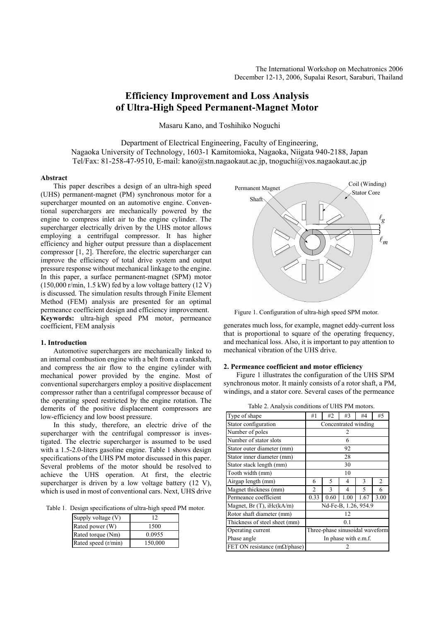# **Efficiency Improvement and Loss Analysis of Ultra-High Speed Permanent-Magnet Motor**

Masaru Kano, and Toshihiko Noguchi

Department of Electrical Engineering, Faculty of Engineering, Nagaoka University of Technology, 1603-1 Kamitomioka, Nagaoka, Niigata 940-2188, Japan Tel/Fax: 81-258-47-9510, E-mail: kano@stn.nagaokaut.ac.jp, tnoguchi@vos.nagaokaut.ac.jp

# **Abstract**

This paper describes a design of an ultra-high speed (UHS) permanent-magnet (PM) synchronous motor for a supercharger mounted on an automotive engine. Conventional superchargers are mechanically powered by the engine to compress inlet air to the engine cylinder. The supercharger electrically driven by the UHS motor allows employing a centrifugal compressor. It has higher efficiency and higher output pressure than a displacement compressor [1, 2]. Therefore, the electric supercharger can improve the efficiency of total drive system and output pressure response without mechanical linkage to the engine. In this paper, a surface permanent-magnet (SPM) motor (150,000 r/min, 1.5 kW) fed by a low voltage battery (12 V) is discussed. The simulation results through Finite Element Method (FEM) analysis are presented for an optimal permeance coefficient design and efficiency improvement. **Keywords:** ultra-high speed PM motor, permeance coefficient, FEM analysis

# **1. Introduction**

Automotive superchargers are mechanically linked to an internal combustion engine with a belt from a crankshaft, and compress the air flow to the engine cylinder with mechanical power provided by the engine. Most of conventional superchargers employ a positive displacement compressor rather than a centrifugal compressor because of the operating speed restricted by the engine rotation. The demerits of the positive displacement compressors are low-efficiency and low boost pressure.

In this study, therefore, an electric drive of the supercharger with the centrifugal compressor is investigated. The electric supercharger is assumed to be used with a 1.5-2.0-liters gasoline engine. Table 1 shows design specifications of the UHS PM motor discussed in this paper. Several problems of the motor should be resolved to achieve the UHS operation. At first, the electric supercharger is driven by a low voltage battery (12 V), which is used in most of conventional cars. Next, UHS drive

Table 1. Design specifications of ultra-high speed PM motor.

| Supply voltage (V)  | 12      |  |  |  |
|---------------------|---------|--|--|--|
| Rated power (W)     | 1500    |  |  |  |
| Rated torque (Nm)   | 0.0955  |  |  |  |
| Rated speed (r/min) | 150,000 |  |  |  |



Figure 1. Configuration of ultra-high speed SPM motor.

generates much loss, for example, magnet eddy-current loss that is proportional to square of the operating frequency, and mechanical loss. Also, it is important to pay attention to mechanical vibration of the UHS drive.

# **2. Permeance coefficient and motor efficiency**

Figure 1 illustrates the configuration of the UHS SPM synchronous motor. It mainly consists of a rotor shaft, a PM, windings, and a stator core. Several cases of the permeance

| Type of shape                         | #1                              | #2   | #3   | #4   | #5             |  |  |
|---------------------------------------|---------------------------------|------|------|------|----------------|--|--|
| Stator configuration                  | Concentrated winding            |      |      |      |                |  |  |
| Number of poles                       | 2                               |      |      |      |                |  |  |
| Number of stator slots                | 6                               |      |      |      |                |  |  |
| Stator outer diameter (mm)            | 92                              |      |      |      |                |  |  |
| Stator inner diameter (mm)            | 28                              |      |      |      |                |  |  |
| Stator stack length (mm)              | 30                              |      |      |      |                |  |  |
| Tooth width (mm)                      | 10                              |      |      |      |                |  |  |
| Airgap length (mm)                    | 6                               | 5    | 4    | 3    | $\overline{c}$ |  |  |
| Magnet thickness (mm)                 | 2                               | 3    | 4    | 5    | 6              |  |  |
| Permeance coefficient                 | 0.33                            | 0.60 | 1.00 | 1.67 | 3.00           |  |  |
| Magnet, $Br(T)$ , iHc $(kA/m)$        | Nd-Fe-B, 1.26, 954.9            |      |      |      |                |  |  |
| Rotor shaft diameter (mm)             | 12                              |      |      |      |                |  |  |
| Thickness of steel sheet (mm)         | 0.1                             |      |      |      |                |  |  |
| Operating current                     | Three-phase sinusoidal waveform |      |      |      |                |  |  |
| Phase angle                           | In phase with e.m.f.            |      |      |      |                |  |  |
| FET ON resistance (m $\Omega$ /phase) |                                 |      |      |      |                |  |  |

Table 2. Analysis conditions of UHS PM motors.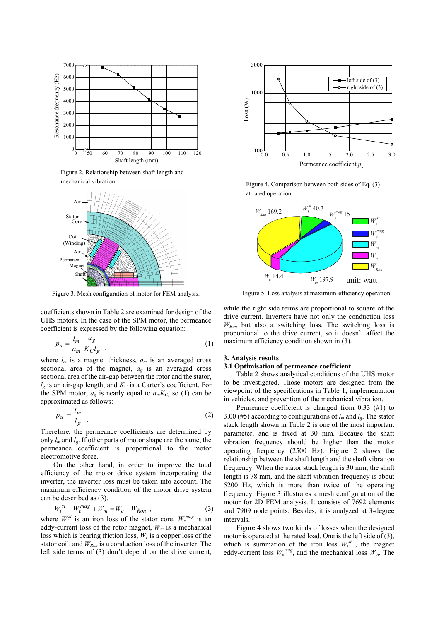

Figure 2. Relationship between shaft length and mechanical vibration.



Figure 3. Mesh configuration of motor for FEM analysis.

coefficients shown in Table 2 are examined for design of the UHS motors. In the case of the SPM motor, the permeance coefficient is expressed by the following equation:

$$
p_u = \frac{l_m}{a_m} \frac{a_g}{K_C l_g} \tag{1}
$$

where  $l_m$  is a magnet thickness,  $a_m$  is an averaged cross sectional area of the magnet,  $a_g$  is an averaged cross sectional area of the air-gap between the rotor and the stator,  $l<sub>e</sub>$  is an air-gap length, and  $K<sub>C</sub>$  is a Carter's coefficient. For the SPM motor,  $a_g$  is nearly equal to  $a_mK_c$ , so (1) can be approximated as follows:

$$
p_u = \frac{l_m}{l_g} \tag{2}
$$

Therefore, the permeance coefficients are determined by only  $l_m$  and  $l_g$ . If other parts of motor shape are the same, the permeance coefficient is proportional to the motor electromotive force.

On the other hand, in order to improve the total efficiency of the motor drive system incorporating the inverter, the inverter loss must be taken into account. The maximum efficiency condition of the motor drive system can be described as (3).

$$
W_i^{st} + W_e^{mag} + W_m = W_c + W_{Ron} \t{,} \t(3)
$$

where  $W_i^{st}$  is an iron loss of the stator core,  $W_e^{mag}$  is an eddy-current loss of the rotor magnet,  $W_m$  is a mechanical loss which is bearing friction loss,  $W_c$  is a copper loss of the stator coil, and  $W_{Ron}$  is a conduction loss of the inverter. The left side terms of (3) don't depend on the drive current,



Figure 4. Comparison between both sides of Eq. (3) at rated operation.



Figure 5. Loss analysis at maximum-efficiency operation.

while the right side terms are proportional to square of the drive current. Inverters have not only the conduction loss *WRon* but also a switching loss. The switching loss is proportional to the drive current, so it doesn't affect the maximum efficiency condition shown in (3).

# **3. Analysis results**

# **3.1 Optimisation of permeance coefficient**

Table 2 shows analytical conditions of the UHS motor to be investigated. Those motors are designed from the viewpoint of the specifications in Table 1, implementation in vehicles, and prevention of the mechanical vibration.

Permeance coefficient is changed from 0.33 (#1) to 3.00 (#5) according to configurations of  $l_m$  and  $l_g$ . The stator stack length shown in Table 2 is one of the most important parameter, and is fixed at 30 mm. Because the shaft vibration frequency should be higher than the motor operating frequency (2500 Hz). Figure 2 shows the relationship between the shaft length and the shaft vibration frequency. When the stator stack length is 30 mm, the shaft length is 78 mm, and the shaft vibration frequency is about 5200 Hz, which is more than twice of the operating frequency. Figure 3 illustrates a mesh configuration of the motor for 2D FEM analysis. It consists of 7692 elements and 7909 node points. Besides, it is analyzed at 3-degree intervals.

Figure 4 shows two kinds of losses when the designed motor is operated at the rated load. One is the left side of (3), which is summation of the iron loss  $W_i^{st}$ , the magnet eddy-current loss  $W_e^{mag}$ , and the mechanical loss  $W_m$ . The